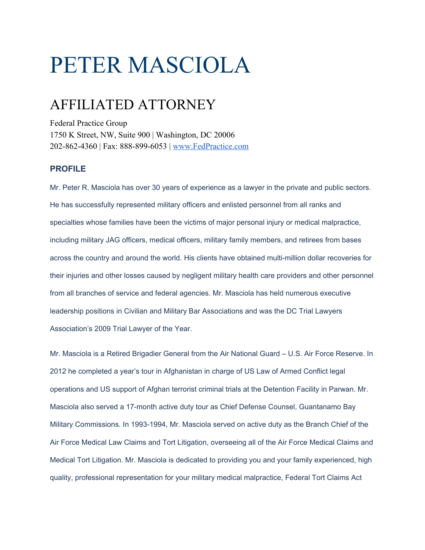## PETER MASCIOLA

## AFFILIATED ATTORNEY

Federal Practice Group 1750 K Street, NW, Suite 900 | Washington, DC 20006 202-862-4360 | Fax: 888-899-6053 | [www.FedPractice.com](http://www.fedpractice.com/)

## **PROFILE**

Mr. Peter R. Masciola has over 30 years of experience as a lawyer in the private and public sectors. He has successfully represented military officers and enlisted personnel from all ranks and specialties whose families have been the victims of major personal injury or medical malpractice, including military JAG officers, medical officers, military family members, and retirees from bases across the country and around the world. His clients have obtained multi-million dollar recoveries for their injuries and other losses caused by negligent military health care providers and other personnel from all branches of service and federal agencies. Mr. Masciola has held numerous executive leadership positions in Civilian and Military Bar Associations and was the DC Trial Lawyers Association's 2009 Trial Lawyer of the Year.

Mr. Masciola is a Retired Brigadier General from the Air National Guard – U.S. Air Force Reserve. In 2012 he completed a year's tour in Afghanistan in charge of US Law of Armed Conflict legal operations and US support of Afghan terrorist criminal trials at the Detention Facility in Parwan. Mr. Masciola also served a 17-month active duty tour as Chief Defense Counsel, Guantanamo Bay Military Commissions. In 1993-1994, Mr. Masciola served on active duty as the Branch Chief of the Air Force Medical Law Claims and Tort Litigation, overseeing all of the Air Force Medical Claims and Medical Tort Litigation. Mr. Masciola is dedicated to providing you and your family experienced, high quality, professional representation for your military medical malpractice, Federal Tort Claims Act